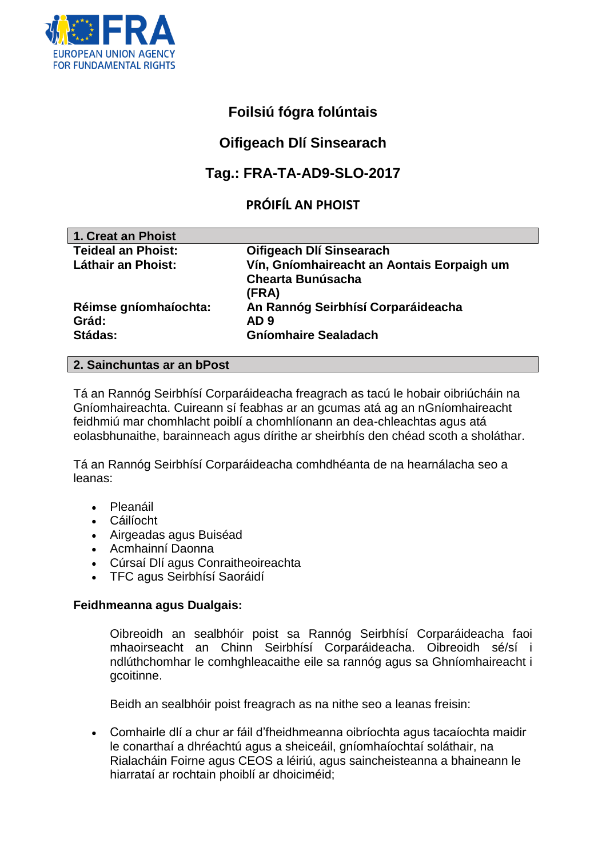

# **Foilsiú fógra folúntais**

# **Oifigeach Dlí Sinsearach**

# **Tag.: FRA-TA-AD9-SLO-2017**

# **PRÓIFÍL AN PHOIST**

| 1. Creat an Phoist        |                                            |
|---------------------------|--------------------------------------------|
| <b>Teideal an Phoist:</b> | Oifigeach Dlí Sinsearach                   |
| <b>Láthair an Phoist:</b> | Vín, Gníomhaireacht an Aontais Eorpaigh um |
|                           | <b>Chearta Bunúsacha</b>                   |
|                           | (FRA)                                      |
| Réimse gníomhaíochta:     | An Rannóg Seirbhísí Corparáideacha         |
| Grád:                     | AD 9                                       |
| Stádas:                   | <b>Gníomhaire Sealadach</b>                |
|                           |                                            |

#### **2. Sainchuntas ar an bPost**

Tá an Rannóg Seirbhísí Corparáideacha freagrach as tacú le hobair oibriúcháin na Gníomhaireachta. Cuireann sí feabhas ar an gcumas atá ag an nGníomhaireacht feidhmiú mar chomhlacht poiblí a chomhlíonann an dea-chleachtas agus atá eolasbhunaithe, barainneach agus dírithe ar sheirbhís den chéad scoth a sholáthar.

Tá an Rannóg Seirbhísí Corparáideacha comhdhéanta de na hearnálacha seo a leanas:

- Pleanáil
- Cáilíocht
- Airgeadas agus Buiséad
- Acmhainní Daonna
- Cúrsaí Dlí agus Conraitheoireachta
- TFC agus Seirbhísí Saoráidí

### **Feidhmeanna agus Dualgais:**

Oibreoidh an sealbhóir poist sa Rannóg Seirbhísí Corparáideacha faoi mhaoirseacht an Chinn Seirbhísí Corparáideacha. Oibreoidh sé/sí i ndlúthchomhar le comhghleacaithe eile sa rannóg agus sa Ghníomhaireacht i gcoitinne.

Beidh an sealbhóir poist freagrach as na nithe seo a leanas freisin:

 Comhairle dlí a chur ar fáil d'fheidhmeanna oibríochta agus tacaíochta maidir le conarthaí a dhréachtú agus a sheiceáil, gníomhaíochtaí soláthair, na Rialacháin Foirne agus CEOS a léiriú, agus saincheisteanna a bhaineann le hiarrataí ar rochtain phoiblí ar dhoiciméid;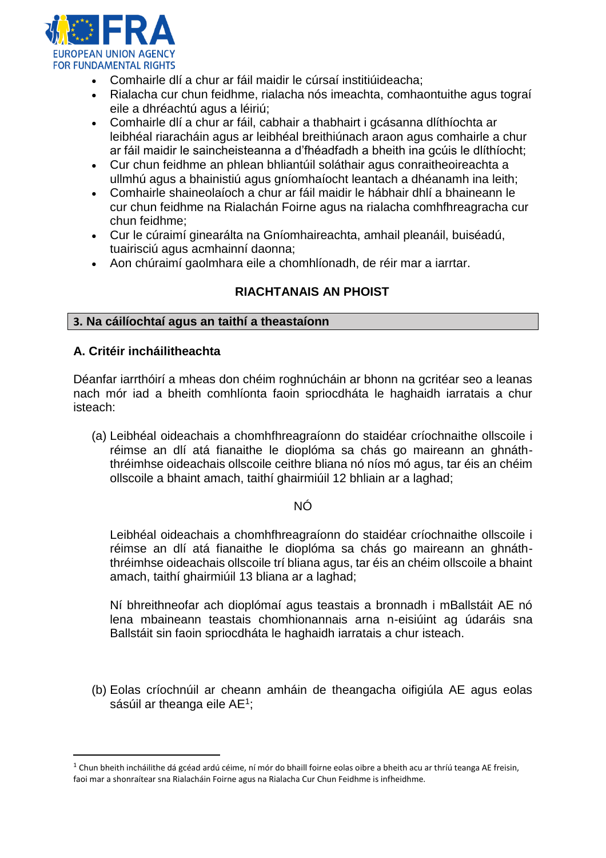

- Comhairle dlí a chur ar fáil maidir le cúrsaí institiúideacha;
- Rialacha cur chun feidhme, rialacha nós imeachta, comhaontuithe agus tograí eile a dhréachtú agus a léiriú;
- Comhairle dlí a chur ar fáil, cabhair a thabhairt i gcásanna dlíthíochta ar leibhéal riaracháin agus ar leibhéal breithiúnach araon agus comhairle a chur ar fáil maidir le saincheisteanna a d'fhéadfadh a bheith ina gcúis le dlíthíocht;
- Cur chun feidhme an phlean bhliantúil soláthair agus conraitheoireachta a ullmhú agus a bhainistiú agus gníomhaíocht leantach a dhéanamh ina leith;
- Comhairle shaineolaíoch a chur ar fáil maidir le hábhair dhlí a bhaineann le cur chun feidhme na Rialachán Foirne agus na rialacha comhfhreagracha cur chun feidhme;
- Cur le cúraimí ginearálta na Gníomhaireachta, amhail pleanáil, buiséadú, tuairisciú agus acmhainní daonna;
- Aon chúraimí gaolmhara eile a chomhlíonadh, de réir mar a iarrtar.

## **RIACHTANAIS AN PHOIST**

#### **3. Na cáilíochtaí agus an taithí a theastaíonn**

#### **A. Critéir incháilitheachta**

 $\overline{a}$ 

Déanfar iarrthóirí a mheas don chéim roghnúcháin ar bhonn na gcritéar seo a leanas nach mór iad a bheith comhlíonta faoin spriocdháta le haghaidh iarratais a chur isteach:

(a) Leibhéal oideachais a chomhfhreagraíonn do staidéar críochnaithe ollscoile i réimse an dlí atá fianaithe le dioplóma sa chás go maireann an ghnáththréimhse oideachais ollscoile ceithre bliana nó níos mó agus, tar éis an chéim ollscoile a bhaint amach, taithí ghairmiúil 12 bhliain ar a laghad;

### NÓ

Leibhéal oideachais a chomhfhreagraíonn do staidéar críochnaithe ollscoile i réimse an dlí atá fianaithe le dioplóma sa chás go maireann an ghnáththréimhse oideachais ollscoile trí bliana agus, tar éis an chéim ollscoile a bhaint amach, taithí ghairmiúil 13 bliana ar a laghad;

Ní bhreithneofar ach dioplómaí agus teastais a bronnadh i mBallstáit AE nó lena mbaineann teastais chomhionannais arna n-eisiúint ag údaráis sna Ballstáit sin faoin spriocdháta le haghaidh iarratais a chur isteach.

(b) Eolas críochnúil ar cheann amháin de theangacha oifigiúla AE agus eolas sásúil ar theanga eile AE<sup>1</sup>;

 $1$  Chun bheith incháilithe dá gcéad ardú céime, ní mór do bhaill foirne eolas oibre a bheith acu ar thríú teanga AE freisin, faoi mar a shonraítear sna Rialacháin Foirne agus na Rialacha Cur Chun Feidhme is infheidhme.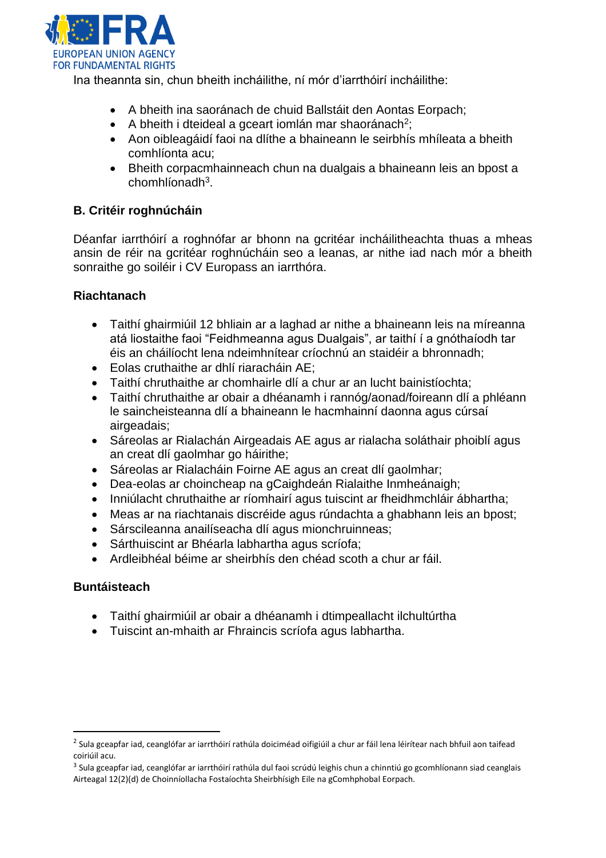

Ina theannta sin, chun bheith incháilithe, ní mór d'iarrthóirí incháilithe:

- A bheith ina saoránach de chuid Ballstáit den Aontas Eorpach;
- A bheith i dteideal a gceart iomlán mar shaoránach<sup>2</sup>;
- Aon oibleagáidí faoi na dlíthe a bhaineann le seirbhís mhíleata a bheith comhlíonta acu;
- Bheith corpacmhainneach chun na dualgais a bhaineann leis an bpost a chomhlíonadh<sup>3</sup>.

## **B. Critéir roghnúcháin**

Déanfar iarrthóirí a roghnófar ar bhonn na gcritéar incháilitheachta thuas a mheas ansin de réir na gcritéar roghnúcháin seo a leanas, ar nithe iad nach mór a bheith sonraithe go soiléir i CV Europass an iarrthóra.

## **Riachtanach**

- Taithí ghairmiúil 12 bhliain ar a laghad ar nithe a bhaineann leis na míreanna atá liostaithe faoi "Feidhmeanna agus Dualgais", ar taithí í a gnóthaíodh tar éis an cháilíocht lena ndeimhnítear críochnú an staidéir a bhronnadh;
- Eolas cruthaithe ar dhlí riaracháin AE;
- Taithí chruthaithe ar chomhairle dlí a chur ar an lucht bainistíochta;
- Taithí chruthaithe ar obair a dhéanamh i rannóg/aonad/foireann dlí a phléann le saincheisteanna dlí a bhaineann le hacmhainní daonna agus cúrsaí airgeadais;
- Sáreolas ar Rialachán Airgeadais AE agus ar rialacha soláthair phoiblí agus an creat dlí gaolmhar go háirithe;
- Sáreolas ar Rialacháin Foirne AE agus an creat dlí gaolmhar;
- Dea-eolas ar choincheap na gCaighdeán Rialaithe Inmheánaigh;
- Inniúlacht chruthaithe ar ríomhairí agus tuiscint ar fheidhmchláir ábhartha;
- Meas ar na riachtanais discréide agus rúndachta a ghabhann leis an bpost;
- Sárscileanna anailíseacha dlí agus mionchruinneas;
- Sárthuiscint ar Bhéarla labhartha agus scríofa;
- Ardleibhéal béime ar sheirbhís den chéad scoth a chur ar fáil.

### **Buntáisteach**

l

- Taithí ghairmiúil ar obair a dhéanamh i dtimpeallacht ilchultúrtha
- Tuiscint an-mhaith ar Fhraincis scríofa agus labhartha.

<sup>&</sup>lt;sup>2</sup> Sula gceapfar iad, ceanglófar ar iarrthóirí rathúla doiciméad oifigiúil a chur ar fáil lena léirítear nach bhfuil aon taifead coiriúil acu.

<sup>&</sup>lt;sup>3</sup> Sula gceapfar iad, ceanglófar ar iarrthóirí rathúla dul faoi scrúdú leighis chun a chinntiú go gcomhlíonann siad ceanglais Airteagal 12(2)(d) de Choinníollacha Fostaíochta Sheirbhísigh Eile na gComhphobal Eorpach.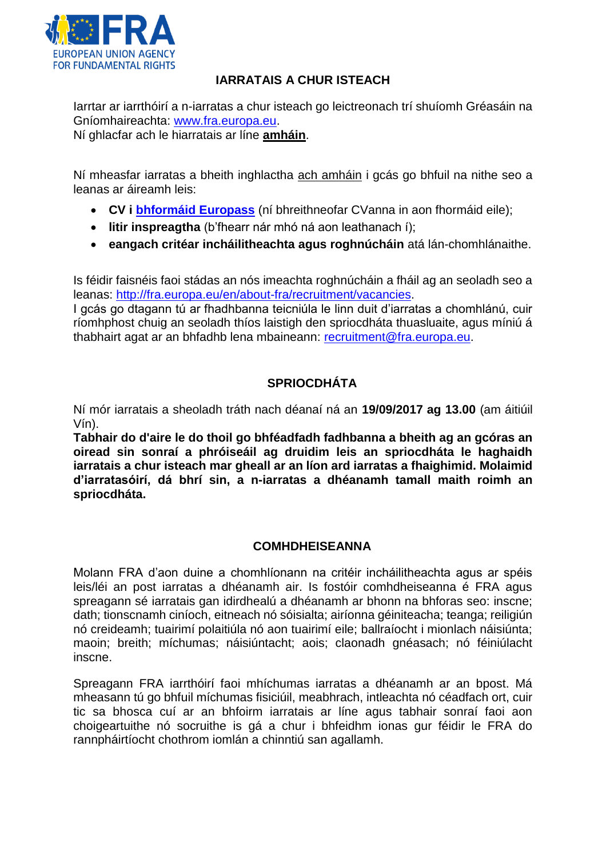

## **IARRATAIS A CHUR ISTEACH**

Iarrtar ar iarrthóirí a n-iarratas a chur isteach go leictreonach trí shuíomh Gréasáin na Gníomhaireachta: [www.fra.europa.eu.](http://www.fra.europa.eu/)

Ní ghlacfar ach le hiarratais ar líne **amháin**.

Ní mheasfar iarratas a bheith inghlactha ach amháin i gcás go bhfuil na nithe seo a leanas ar áireamh leis:

- **CV i [bhformáid Europass](http://europass.cedefop.europa.eu/en/documents/curriculum-vitae/templates-instructions)** (ní bhreithneofar CVanna in aon fhormáid eile);
- **litir inspreagtha** (b'fhearr nár mhó ná aon leathanach í);
- **eangach critéar incháilitheachta agus roghnúcháin** atá lán-chomhlánaithe.

Is féidir faisnéis faoi stádas an nós imeachta roghnúcháin a fháil ag an seoladh seo a leanas: [http://fra.europa.eu/en/about-fra/recruitment/vacancies.](http://fra.europa.eu/en/about-fra/recruitment/vacancies)

I gcás go dtagann tú ar fhadhbanna teicniúla le linn duit d'iarratas a chomhlánú, cuir ríomhphost chuig an seoladh thíos laistigh den spriocdháta thuasluaite, agus míniú á thabhairt agat ar an bhfadhb lena mbaineann: [recruitment@fra.europa.eu.](mailto:recruitment@fra.europa.eu)

## **SPRIOCDHÁTA**

Ní mór iarratais a sheoladh tráth nach déanaí ná an **19/09/2017 ag 13.00** (am áitiúil Vín).

**Tabhair do d'aire le do thoil go bhféadfadh fadhbanna a bheith ag an gcóras an oiread sin sonraí a phróiseáil ag druidim leis an spriocdháta le haghaidh iarratais a chur isteach mar gheall ar an líon ard iarratas a fhaighimid. Molaimid d'iarratasóirí, dá bhrí sin, a n-iarratas a dhéanamh tamall maith roimh an spriocdháta.** 

## **COMHDHEISEANNA**

Molann FRA d'aon duine a chomhlíonann na critéir incháilitheachta agus ar spéis leis/léi an post iarratas a dhéanamh air. Is fostóir comhdheiseanna é FRA agus spreagann sé iarratais gan idirdhealú a dhéanamh ar bhonn na bhforas seo: inscne; dath; tionscnamh ciníoch, eitneach nó sóisialta; airíonna géiniteacha; teanga; reiligiún nó creideamh; tuairimí polaitiúla nó aon tuairimí eile; ballraíocht i mionlach náisiúnta; maoin; breith; míchumas; náisiúntacht; aois; claonadh gnéasach; nó féiniúlacht inscne.

Spreagann FRA iarrthóirí faoi mhíchumas iarratas a dhéanamh ar an bpost. Má mheasann tú go bhfuil míchumas fisiciúil, meabhrach, intleachta nó céadfach ort, cuir tic sa bhosca cuí ar an bhfoirm iarratais ar líne agus tabhair sonraí faoi aon choigeartuithe nó socruithe is gá a chur i bhfeidhm ionas gur féidir le FRA do rannpháirtíocht chothrom iomlán a chinntiú san agallamh.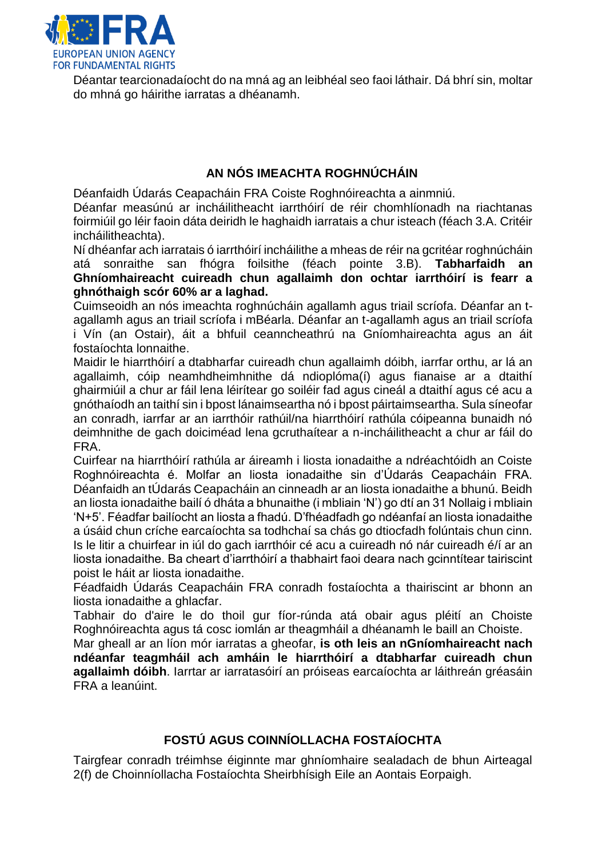

Déantar tearcionadaíocht do na mná ag an leibhéal seo faoi láthair. Dá bhrí sin, moltar do mhná go háirithe iarratas a dhéanamh.

# **AN NÓS IMEACHTA ROGHNÚCHÁIN**

Déanfaidh Údarás Ceapacháin FRA Coiste Roghnóireachta a ainmniú.

Déanfar measúnú ar incháilitheacht iarrthóirí de réir chomhlíonadh na riachtanas foirmiúil go léir faoin dáta deiridh le haghaidh iarratais a chur isteach (féach 3.A. Critéir incháilitheachta).

Ní dhéanfar ach iarratais ó iarrthóirí incháilithe a mheas de réir na gcritéar roghnúcháin atá sonraithe san fhógra foilsithe (féach pointe 3.B). **Tabharfaidh an Ghníomhaireacht cuireadh chun agallaimh don ochtar iarrthóirí is fearr a ghnóthaigh scór 60% ar a laghad.** 

Cuimseoidh an nós imeachta roghnúcháin agallamh agus triail scríofa. Déanfar an tagallamh agus an triail scríofa i mBéarla. Déanfar an t-agallamh agus an triail scríofa i Vín (an Ostair), áit a bhfuil ceanncheathrú na Gníomhaireachta agus an áit fostaíochta lonnaithe.

Maidir le hiarrthóirí a dtabharfar cuireadh chun agallaimh dóibh, iarrfar orthu, ar lá an agallaimh, cóip neamhdheimhnithe dá ndioplóma(í) agus fianaise ar a dtaithí ghairmiúil a chur ar fáil lena léirítear go soiléir fad agus cineál a dtaithí agus cé acu a gnóthaíodh an taithí sin i bpost lánaimseartha nó i bpost páirtaimseartha. Sula síneofar an conradh, iarrfar ar an iarrthóir rathúil/na hiarrthóirí rathúla cóipeanna bunaidh nó deimhnithe de gach doiciméad lena gcruthaítear a n-incháilitheacht a chur ar fáil do FRA.

Cuirfear na hiarrthóirí rathúla ar áireamh i liosta ionadaithe a ndréachtóidh an Coiste Roghnóireachta é. Molfar an liosta ionadaithe sin d'Údarás Ceapacháin FRA. Déanfaidh an tÚdarás Ceapacháin an cinneadh ar an liosta ionadaithe a bhunú. Beidh an liosta ionadaithe bailí ó dháta a bhunaithe (i mbliain 'N') go dtí an 31 Nollaig i mbliain 'N+5'. Féadfar bailíocht an liosta a fhadú. D'fhéadfadh go ndéanfaí an liosta ionadaithe a úsáid chun críche earcaíochta sa todhchaí sa chás go dtiocfadh folúntais chun cinn. Is le litir a chuirfear in iúl do gach iarrthóir cé acu a cuireadh nó nár cuireadh é/í ar an liosta ionadaithe. Ba cheart d'iarrthóirí a thabhairt faoi deara nach gcinntítear tairiscint poist le háit ar liosta ionadaithe.

Féadfaidh Údarás Ceapacháin FRA conradh fostaíochta a thairiscint ar bhonn an liosta ionadaithe a ghlacfar.

Tabhair do d'aire le do thoil gur fíor-rúnda atá obair agus pléití an Choiste Roghnóireachta agus tá cosc iomlán ar theagmháil a dhéanamh le baill an Choiste.

Mar gheall ar an líon mór iarratas a gheofar, **is oth leis an nGníomhaireacht nach ndéanfar teagmháil ach amháin le hiarrthóirí a dtabharfar cuireadh chun agallaimh dóibh**. Iarrtar ar iarratasóirí an próiseas earcaíochta ar láithreán gréasáin FRA a leanúint.

# **FOSTÚ AGUS COINNÍOLLACHA FOSTAÍOCHTA**

Tairgfear conradh tréimhse éiginnte mar ghníomhaire sealadach de bhun Airteagal 2(f) de Choinníollacha Fostaíochta Sheirbhísigh Eile an Aontais Eorpaigh.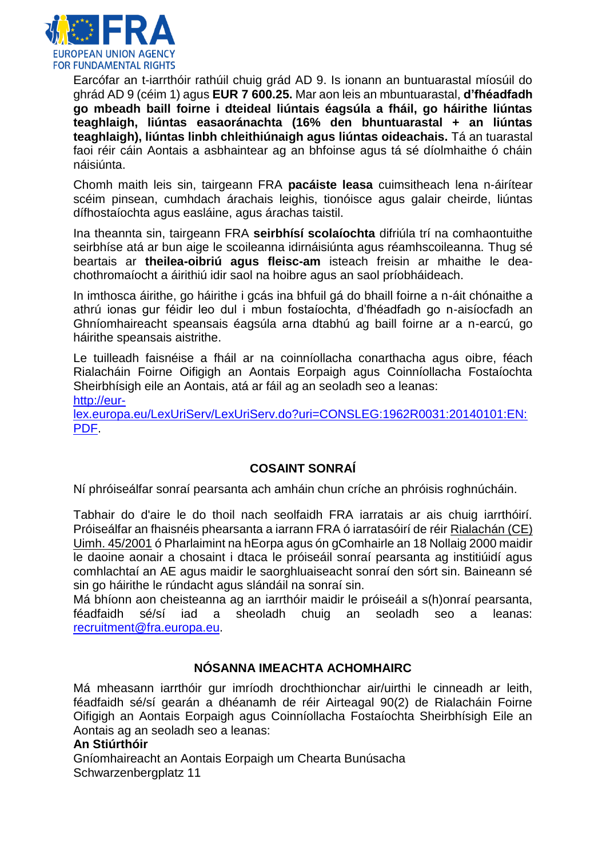

Earcófar an t-iarrthóir rathúil chuig grád AD 9. Is ionann an buntuarastal míosúil do ghrád AD 9 (céim 1) agus **EUR 7 600.25.** Mar aon leis an mbuntuarastal, **d'fhéadfadh go mbeadh baill foirne i dteideal liúntais éagsúla a fháil, go háirithe liúntas teaghlaigh, liúntas easaoránachta (16% den bhuntuarastal + an liúntas teaghlaigh), liúntas linbh chleithiúnaigh agus liúntas oideachais.** Tá an tuarastal faoi réir cáin Aontais a asbhaintear ag an bhfoinse agus tá sé díolmhaithe ó cháin náisiúnta.

Chomh maith leis sin, tairgeann FRA **pacáiste leasa** cuimsitheach lena n-áirítear scéim pinsean, cumhdach árachais leighis, tionóisce agus galair cheirde, liúntas dífhostaíochta agus easláine, agus árachas taistil.

Ina theannta sin, tairgeann FRA **seirbhísí scolaíochta** difriúla trí na comhaontuithe seirbhíse atá ar bun aige le scoileanna idirnáisiúnta agus réamhscoileanna. Thug sé beartais ar **theilea-oibriú agus fleisc-am** isteach freisin ar mhaithe le deachothromaíocht a áirithiú idir saol na hoibre agus an saol príobháideach.

In imthosca áirithe, go háirithe i gcás ina bhfuil gá do bhaill foirne a n-áit chónaithe a athrú ionas gur féidir leo dul i mbun fostaíochta, d'fhéadfadh go n-aisíocfadh an Ghníomhaireacht speansais éagsúla arna dtabhú ag baill foirne ar a n-earcú, go háirithe speansais aistrithe.

Le tuilleadh faisnéise a fháil ar na coinníollacha conarthacha agus oibre, féach Rialacháin Foirne Oifigigh an Aontais Eorpaigh agus Coinníollacha Fostaíochta Sheirbhísigh eile an Aontais, atá ar fáil ag an seoladh seo a leanas: [http://eur-](http://eur-lex.europa.eu/LexUriServ/LexUriServ.do?uri=CONSLEG:1962R0031:20140101:EN:PDF)

[lex.europa.eu/LexUriServ/LexUriServ.do?uri=CONSLEG:1962R0031:20140101:EN:](http://eur-lex.europa.eu/LexUriServ/LexUriServ.do?uri=CONSLEG:1962R0031:20140101:EN:PDF) [PDF.](http://eur-lex.europa.eu/LexUriServ/LexUriServ.do?uri=CONSLEG:1962R0031:20140101:EN:PDF)

# **COSAINT SONRAÍ**

Ní phróiseálfar sonraí pearsanta ach amháin chun críche an phróisis roghnúcháin.

Tabhair do d'aire le do thoil nach seolfaidh FRA iarratais ar ais chuig iarrthóirí. Próiseálfar an fhaisnéis phearsanta a iarrann FRA ó iarratasóirí de réir Rialachán (CE) Uimh. 45/2001 ó Pharlaimint na hEorpa agus ón gComhairle an 18 Nollaig 2000 maidir le daoine aonair a chosaint i dtaca le próiseáil sonraí pearsanta ag institiúidí agus comhlachtaí an AE agus maidir le saorghluaiseacht sonraí den sórt sin. Baineann sé sin go háirithe le rúndacht agus slándáil na sonraí sin.

Má bhíonn aon cheisteanna ag an iarrthóir maidir le próiseáil a s(h)onraí pearsanta, féadfaidh sé/sí iad a sheoladh chuig an seoladh seo a leanas: [recruitment@fra.europa.eu.](mailto:recruitment@fra.europa.eu)

## **NÓSANNA IMEACHTA ACHOMHAIRC**

Má mheasann iarrthóir gur imríodh drochthionchar air/uirthi le cinneadh ar leith, féadfaidh sé/sí gearán a dhéanamh de réir Airteagal 90(2) de Rialacháin Foirne Oifigigh an Aontais Eorpaigh agus Coinníollacha Fostaíochta Sheirbhísigh Eile an Aontais ag an seoladh seo a leanas:

### **An Stiúrthóir**

Gníomhaireacht an Aontais Eorpaigh um Chearta Bunúsacha Schwarzenbergplatz 11